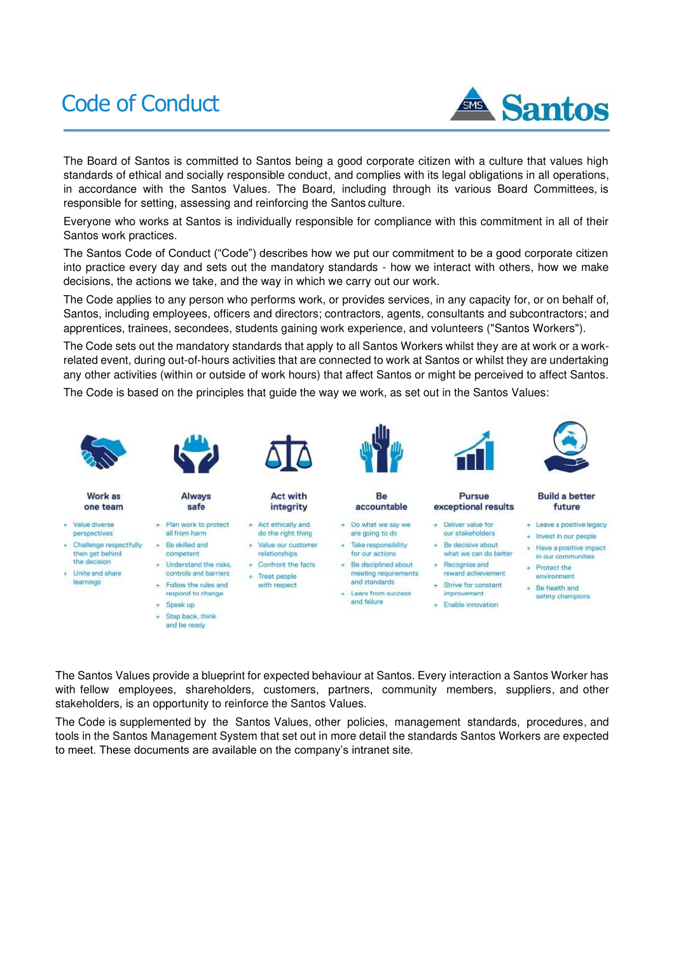# Code of Conduct



The Board of Santos is committed to Santos being a good corporate citizen with a culture that values high standards of ethical and socially responsible conduct, and complies with its legal obligations in all operations, in accordance with the Santos Values. The Board, including through its various Board Committees, is responsible for setting, assessing and reinforcing the Santos culture.

Everyone who works at Santos is individually responsible for compliance with this commitment in all of their Santos work practices.

The Santos Code of Conduct ("Code") describes how we put our commitment to be a good corporate citizen into practice every day and sets out the mandatory standards - how we interact with others, how we make decisions, the actions we take, and the way in which we carry out our work.

The Code applies to any person who performs work, or provides services, in any capacity for, or on behalf of, Santos, including employees, officers and directors; contractors, agents, consultants and subcontractors; and apprentices, trainees, secondees, students gaining work experience, and volunteers ("Santos Workers").

The Code sets out the mandatory standards that apply to all Santos Workers whilst they are at work or a workrelated event, during out-of-hours activities that are connected to work at Santos or whilst they are undertaking any other activities (within or outside of work hours) that affect Santos or might be perceived to affect Santos.

The Code is based on the principles that guide the way we work, as set out in the Santos Values:



The Santos Values provide a blueprint for expected behaviour at Santos. Every interaction a Santos Worker has with fellow employees, shareholders, customers, partners, community members, suppliers, and other stakeholders, is an opportunity to reinforce the Santos Values.

The Code is supplemented by the Santos Values, other policies, management standards, procedures, and tools in the Santos Management System that set out in more detail the standards Santos Workers are expected to meet. These documents are available on the company's intranet site.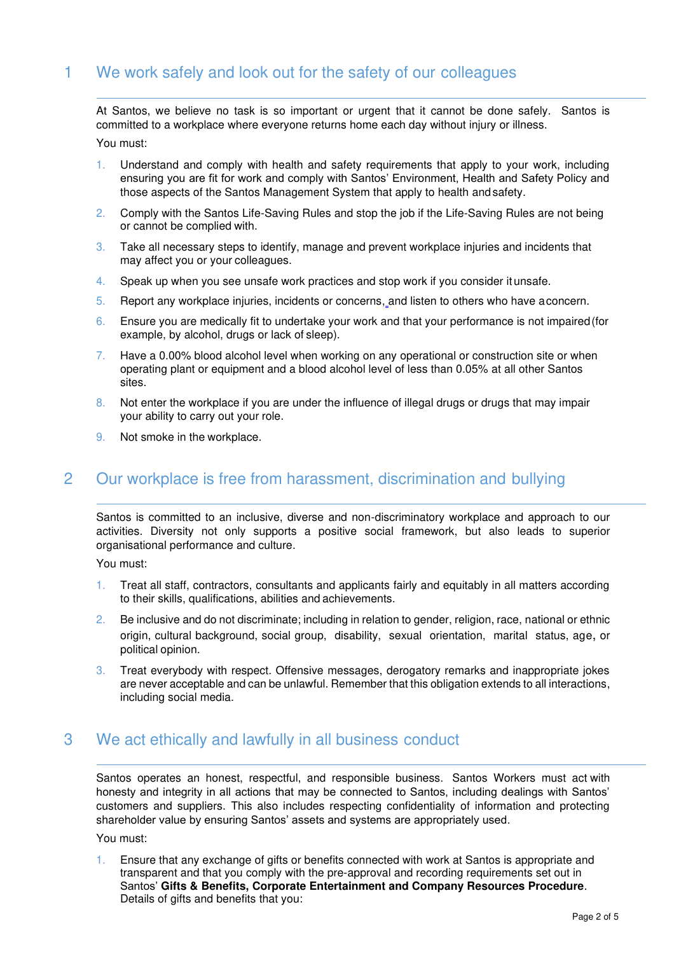# 1 We work safely and look out for the safety of our colleagues

At Santos, we believe no task is so important or urgent that it cannot be done safely. Santos is committed to a workplace where everyone returns home each day without injury or illness.

You must:

- 1. Understand and comply with health and safety requirements that apply to your work, including ensuring you are fit for work and comply with Santos' Environment, Health and Safety Policy and those aspects of the Santos Management System that apply to health and safety.
- 2. Comply with the Santos Life-Saving Rules and stop the job if the Life-Saving Rules are not being or cannot be complied with.
- 3. Take all necessary steps to identify, manage and prevent workplace injuries and incidents that may affect you or your colleagues.
- 4. Speak up when you see unsafe work practices and stop work if you consider it unsafe.
- 5. Report any workplace injuries, incidents or concerns, and listen to others who have a concern.
- 6. Ensure you are medically fit to undertake your work and that your performance is not impaired (for example, by alcohol, drugs or lack of sleep).
- 7. Have a 0.00% blood alcohol level when working on any operational or construction site or when operating plant or equipment and a blood alcohol level of less than 0.05% at all other Santos sites.
- 8. Not enter the workplace if you are under the influence of illegal drugs or drugs that may impair your ability to carry out your role.
- 9. Not smoke in the workplace.

### 2 Our workplace is free from harassment, discrimination and bullying

Santos is committed to an inclusive, diverse and non-discriminatory workplace and approach to our activities. Diversity not only supports a positive social framework, but also leads to superior organisational performance and culture.

You must:

- 1. Treat all staff, contractors, consultants and applicants fairly and equitably in all matters according to their skills, qualifications, abilities and achievements.
- 2. Be inclusive and do not discriminate; including in relation to gender, religion, race, national or ethnic origin, cultural background, social group, disability, sexual orientation, marital status, age, or political opinion.
- 3. Treat everybody with respect. Offensive messages, derogatory remarks and inappropriate jokes are never acceptable and can be unlawful. Remember that this obligation extends to all interactions, including social media.

### 3 We act ethically and lawfully in all business conduct

Santos operates an honest, respectful, and responsible business. Santos Workers must act with honesty and integrity in all actions that may be connected to Santos, including dealings with Santos' customers and suppliers. This also includes respecting confidentiality of information and protecting shareholder value by ensuring Santos' assets and systems are appropriately used.

You must:

1. Ensure that any exchange of gifts or benefits connected with work at Santos is appropriate and transparent and that you comply with the pre-approval and recording requirements set out in Santos' **Gifts & Benefits, Corporate Entertainment and Company Resources Procedure**. Details of gifts and benefits that you: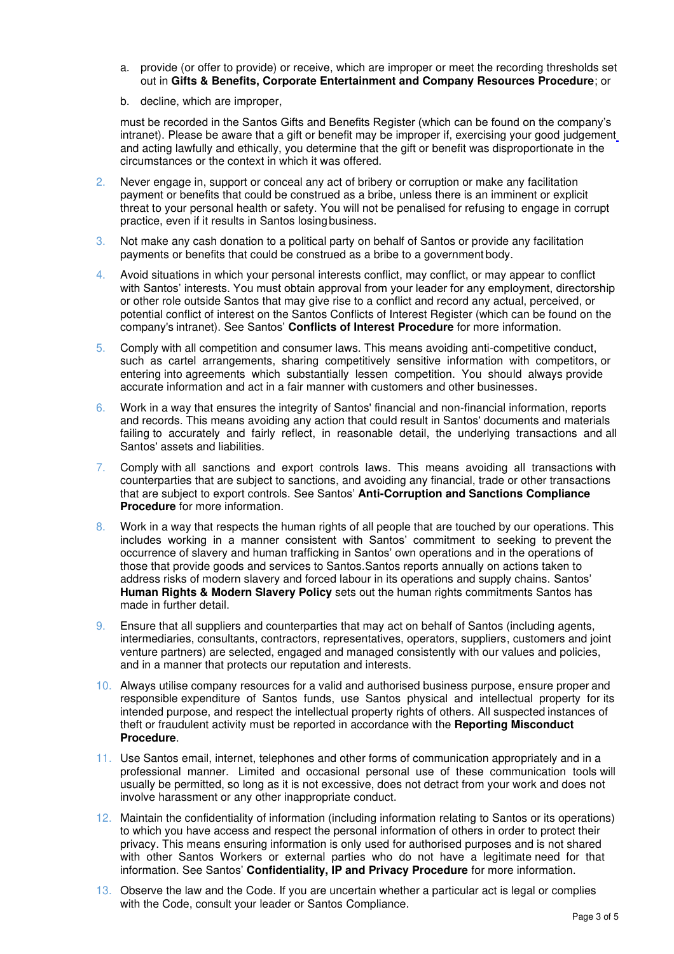- a. provide (or offer to provide) or receive, which are improper or meet the recording thresholds set out in **Gifts & Benefits, Corporate Entertainment and Company Resources Procedure**; or
- b. decline, which are improper,

must be recorded in the Santos Gifts and Benefits Register (which can be found on the company's intranet). Please be aware that a gift or benefit may be improper if, exercising your good judgement and acting lawfully and ethically, you determine that the gift or benefit was disproportionate in the circumstances or the context in which it was offered.

- 2. Never engage in, support or conceal any act of bribery or corruption or make any facilitation payment or benefits that could be construed as a bribe, unless there is an imminent or explicit threat to your personal health or safety. You will not be penalised for refusing to engage in corrupt practice, even if it results in Santos losing business.
- 3. Not make any cash donation to a political party on behalf of Santos or provide any facilitation payments or benefits that could be construed as a bribe to a government body.
- 4. Avoid situations in which your personal interests conflict, may conflict, or may appear to conflict with Santos' interests. You must obtain approval from your leader for any employment, directorship or other role outside Santos that may give rise to a conflict and record any actual, perceived, or potential conflict of interest on the Santos Conflicts of Interest Register (which can be found on the company's intranet). See Santos' **Conflicts of Interest Procedure** for more information.
- 5. Comply with all competition and consumer laws. This means avoiding anti-competitive conduct, such as cartel arrangements, sharing competitively sensitive information with competitors, or entering into agreements which substantially lessen competition. You should always provide accurate information and act in a fair manner with customers and other businesses.
- 6. Work in a way that ensures the integrity of Santos' financial and non-financial information, reports and records. This means avoiding any action that could result in Santos' documents and materials failing to accurately and fairly reflect, in reasonable detail, the underlying transactions and all Santos' assets and liabilities.
- 7. Comply with all sanctions and export controls laws. This means avoiding all transactions with counterparties that are subject to sanctions, and avoiding any financial, trade or other transactions that are subject to export controls. See Santos' **Anti-Corruption and Sanctions Compliance Procedure** for more information.
- 8. Work in a way that respects the human rights of all people that are touched by our operations. This includes working in a manner consistent with Santos' commitment to seeking to prevent the occurrence of slavery and human trafficking in Santos' own operations and in the operations of those that provide goods and services to Santos.Santos reports annually on actions taken to address risks of modern slavery and forced labour in its operations and supply chains. Santos' **Human Rights & Modern Slavery Policy** sets out the human rights commitments Santos has made in further detail.
- 9. Ensure that all suppliers and counterparties that may act on behalf of Santos (including agents, intermediaries, consultants, contractors, representatives, operators, suppliers, customers and joint venture partners) are selected, engaged and managed consistently with our values and policies, and in a manner that protects our reputation and interests.
- 10. Always utilise company resources for a valid and authorised business purpose, ensure proper and responsible expenditure of Santos funds, use Santos physical and intellectual property for its intended purpose, and respect the intellectual property rights of others. All suspected instances of theft or fraudulent activity must be reported in accordance with the **Reporting Misconduct Procedure**.
- 11. Use Santos email, internet, telephones and other forms of communication appropriately and in a professional manner. Limited and occasional personal use of these communication tools will usually be permitted, so long as it is not excessive, does not detract from your work and does not involve harassment or any other inappropriate conduct.
- 12. Maintain the confidentiality of information (including information relating to Santos or its operations) to which you have access and respect the personal information of others in order to protect their privacy. This means ensuring information is only used for authorised purposes and is not shared with other Santos Workers or external parties who do not have a legitimate need for that information. See Santos' **Confidentiality, IP and Privacy Procedure** for more information.
- 13. Observe the law and the Code. If you are uncertain whether a particular act is legal or complies with the Code, consult your leader or Santos Compliance.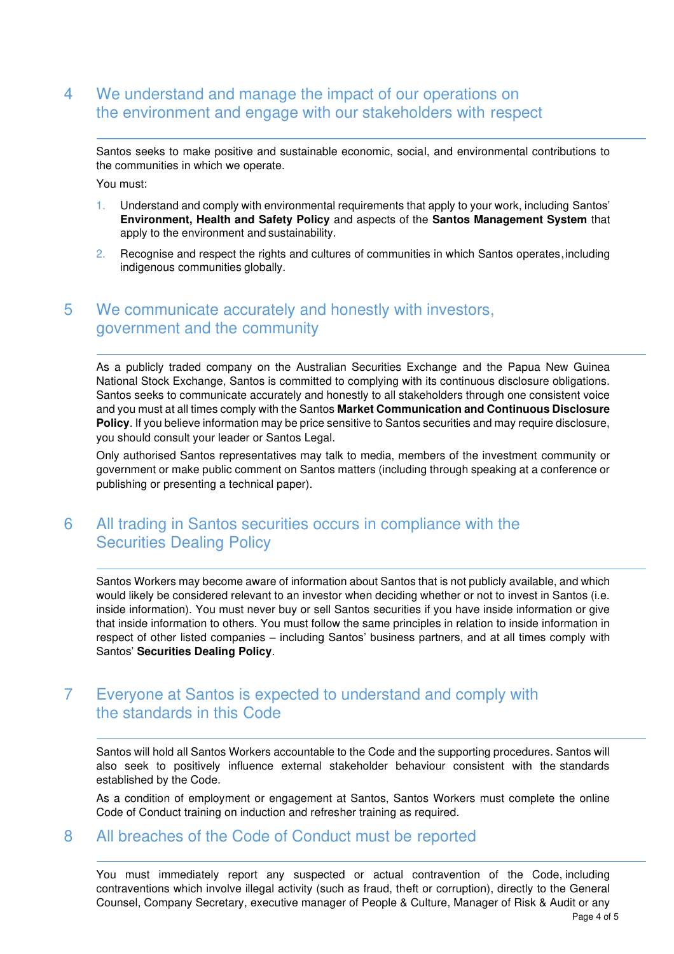## 4 We understand and manage the impact of our operations on the environment and engage with our stakeholders with respect

Santos seeks to make positive and sustainable economic, social, and environmental contributions to the communities in which we operate.

You must:

- 1. Understand and comply with environmental requirements that apply to your work, including Santos' **Environment, Health and Safety Policy** and aspects of the **Santos Management System** that apply to the environment and sustainability.
- 2. Recognise and respect the rights and cultures of communities in which Santos operates, including indigenous communities globally.

## 5 We communicate accurately and honestly with investors, government and the community

As a publicly traded company on the Australian Securities Exchange and the Papua New Guinea National Stock Exchange, Santos is committed to complying with its continuous disclosure obligations. Santos seeks to communicate accurately and honestly to all stakeholders through one consistent voice and you must at all times comply with the Santos **Market Communication and Continuous Disclosure Policy**. If you believe information may be price sensitive to Santos securities and may require disclosure, you should consult your leader or Santos Legal.

Only authorised Santos representatives may talk to media, members of the investment community or government or make public comment on Santos matters (including through speaking at a conference or publishing or presenting a technical paper).

## 6 All trading in Santos securities occurs in compliance with the Securities Dealing Policy

Santos Workers may become aware of information about Santos that is not publicly available, and which would likely be considered relevant to an investor when deciding whether or not to invest in Santos (i.e. inside information). You must never buy or sell Santos securities if you have inside information or give that inside information to others. You must follow the same principles in relation to inside information in respect of other listed companies – including Santos' business partners, and at all times comply with Santos' **Securities Dealing Policy**.

### 7 Everyone at Santos is expected to understand and comply with the standards in this Code

Santos will hold all Santos Workers accountable to the Code and the supporting procedures. Santos will also seek to positively influence external stakeholder behaviour consistent with the standards established by the Code.

As a condition of employment or engagement at Santos, Santos Workers must complete the online Code of Conduct training on induction and refresher training as required.

#### 8 All breaches of the Code of Conduct must be reported

You must immediately report any suspected or actual contravention of the Code, including contraventions which involve illegal activity (such as fraud, theft or corruption), directly to the General Counsel, Company Secretary, executive manager of People & Culture, Manager of Risk & Audit or any